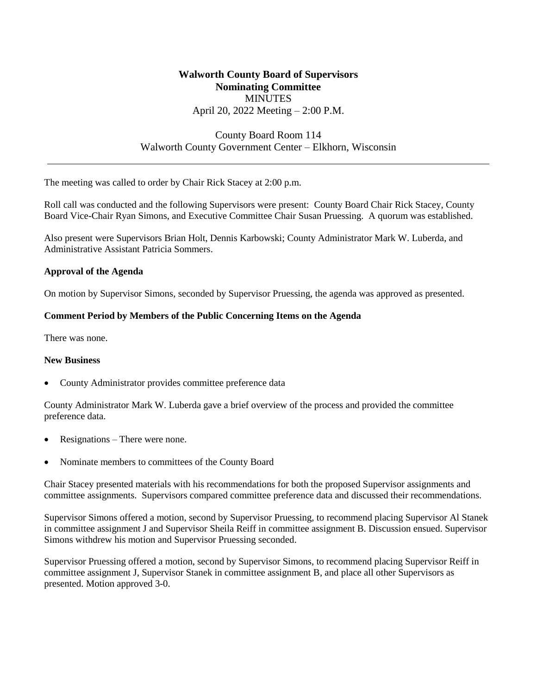# **Walworth County Board of Supervisors Nominating Committee MINUTES** April 20, 2022 Meeting – 2:00 P.M.

# County Board Room 114 Walworth County Government Center – Elkhorn, Wisconsin

The meeting was called to order by Chair Rick Stacey at 2:00 p.m.

Roll call was conducted and the following Supervisors were present: County Board Chair Rick Stacey, County Board Vice-Chair Ryan Simons, and Executive Committee Chair Susan Pruessing. A quorum was established.

Also present were Supervisors Brian Holt, Dennis Karbowski; County Administrator Mark W. Luberda, and Administrative Assistant Patricia Sommers.

### **Approval of the Agenda**

On motion by Supervisor Simons, seconded by Supervisor Pruessing, the agenda was approved as presented.

### **Comment Period by Members of the Public Concerning Items on the Agenda**

There was none.

#### **New Business**

• County Administrator provides committee preference data

County Administrator Mark W. Luberda gave a brief overview of the process and provided the committee preference data.

- Resignations There were none.
- Nominate members to committees of the County Board

Chair Stacey presented materials with his recommendations for both the proposed Supervisor assignments and committee assignments. Supervisors compared committee preference data and discussed their recommendations.

Supervisor Simons offered a motion, second by Supervisor Pruessing, to recommend placing Supervisor Al Stanek in committee assignment J and Supervisor Sheila Reiff in committee assignment B. Discussion ensued. Supervisor Simons withdrew his motion and Supervisor Pruessing seconded.

Supervisor Pruessing offered a motion, second by Supervisor Simons, to recommend placing Supervisor Reiff in committee assignment J, Supervisor Stanek in committee assignment B, and place all other Supervisors as presented. Motion approved 3-0.